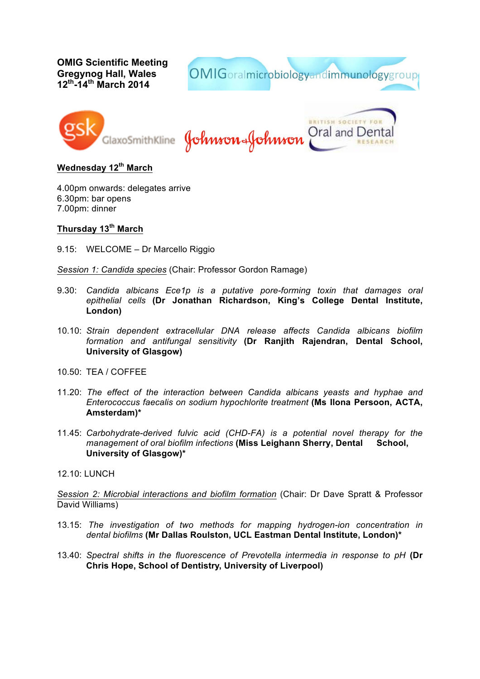**OMIG Scientific Meeting Gregynog Hall, Wales 12th-14th March 2014**

OMIGoralmicrobiologyandimmunologygroup



**URITISH SOCIETY FOR** Oral and Dent SlaxoSmithKline **Johnson&Johnson** 

**Wednesday 12th March**

4.00pm onwards: delegates arrive 6.30pm: bar opens 7.00pm: dinner

## **Thursday 13th March**

9.15: WELCOME – Dr Marcello Riggio

*Session 1: Candida species* (Chair: Professor Gordon Ramage)

- 9.30: *Candida albicans Ece1p is a putative pore-forming toxin that damages oral epithelial cells* **(Dr Jonathan Richardson, King's College Dental Institute, London)**
- 10.10: *Strain dependent extracellular DNA release affects Candida albicans biofilm formation and antifungal sensitivity* **(Dr Ranjith Rajendran, Dental School, University of Glasgow)**
- $10.50$  TFA / COFFFF
- 11.20: *The effect of the interaction between Candida albicans yeasts and hyphae and Enterococcus faecalis on sodium hypochlorite treatment* **(Ms Ilona Persoon, ACTA, Amsterdam)\***
- 11.45: *Carbohydrate-derived fulvic acid (CHD-FA) is a potential novel therapy for the management of oral biofilm infections* **(Miss Leighann Sherry, Dental School, University of Glasgow)\***

12.10: LUNCH

*Session 2: Microbial interactions and biofilm formation* (Chair: Dr Dave Spratt & Professor David Williams)

- 13.15: *The investigation of two methods for mapping hydrogen-ion concentration in dental biofilms* **(Mr Dallas Roulston, UCL Eastman Dental Institute, London)\***
- 13.40: *Spectral shifts in the fluorescence of Prevotella intermedia in response to pH* **(Dr Chris Hope, School of Dentistry, University of Liverpool)**